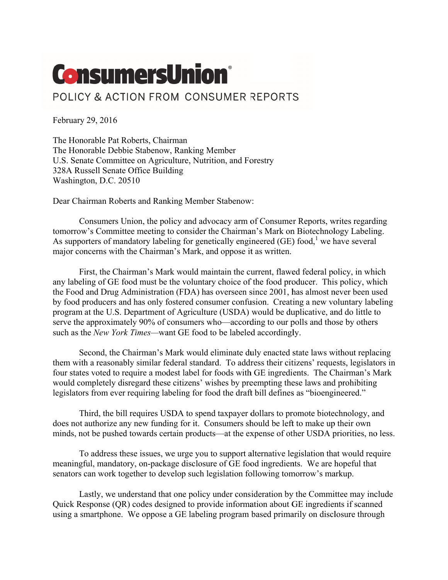## **ConsumersUnion®**

## POLICY & ACTION FROM CONSUMER REPORTS

February 29, 2016

The Honorable Pat Roberts, Chairman The Honorable Debbie Stabenow, Ranking Member U.S. Senate Committee on Agriculture, Nutrition, and Forestry 328A Russell Senate Office Building Washington, D.C. 20510

Dear Chairman Roberts and Ranking Member Stabenow:

Consumers Union, the policy and advocacy arm of Consumer Reports, writes regarding tomorrow's Committee meeting to consider the Chairman's Mark on Biotechnology Labeling. As supporters of mandatory labeling for genetically engineered (GE) food,<sup>1</sup> we have several major concerns with the Chairman's Mark, and oppose it as written.

First, the Chairman's Mark would maintain the current, flawed federal policy, in which any labeling of GE food must be the voluntary choice of the food producer. This policy, which the Food and Drug Administration (FDA) has overseen since 2001, has almost never been used by food producers and has only fostered consumer confusion. Creating a new voluntary labeling program at the U.S. Department of Agriculture (USDA) would be duplicative, and do little to serve the approximately 90% of consumers who—according to our polls and those by others such as the New York Times—want GE food to be labeled accordingly.

Second, the Chairman's Mark would eliminate duly enacted state laws without replacing them with a reasonably similar federal standard. To address their citizens' requests, legislators in four states voted to require a modest label for foods with GE ingredients. The Chairman's Mark would completely disregard these citizens' wishes by preempting these laws and prohibiting legislators from ever requiring labeling for food the draft bill defines as "bioengineered."

Third, the bill requires USDA to spend taxpayer dollars to promote biotechnology, and does not authorize any new funding for it. Consumers should be left to make up their own minds, not be pushed towards certain products—at the expense of other USDA priorities, no less.

To address these issues, we urge you to support alternative legislation that would require meaningful, mandatory, on-package disclosure of GE food ingredients. We are hopeful that senators can work together to develop such legislation following tomorrow's markup.

Lastly, we understand that one policy under consideration by the Committee may include Quick Response (QR) codes designed to provide information about GE ingredients if scanned using a smartphone. We oppose a GE labeling program based primarily on disclosure through